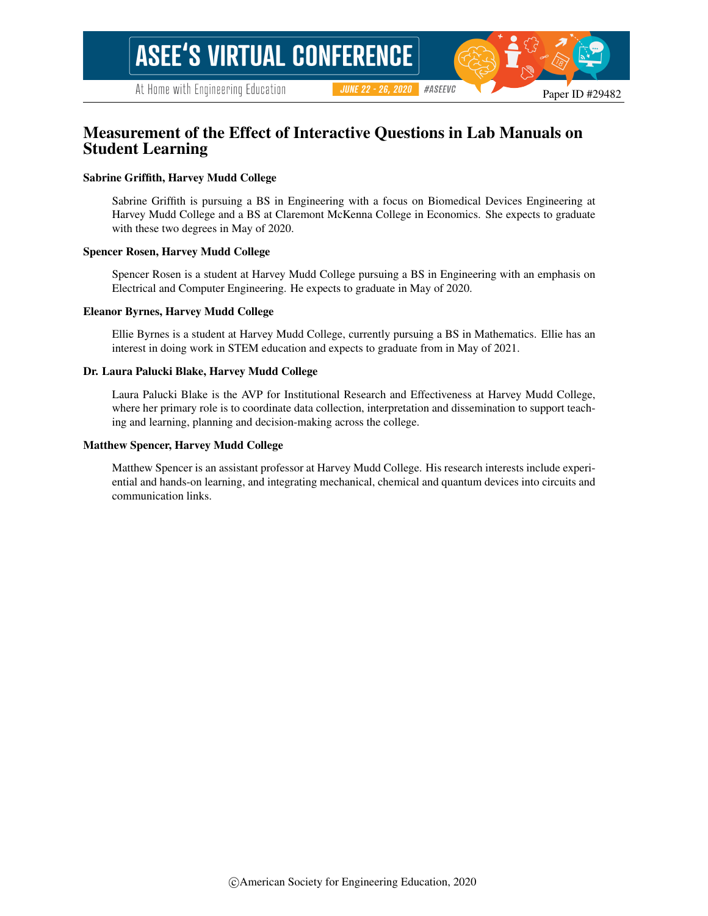# Measurement of the Effect of Interactive Questions in Lab Manuals on Student Learning

#### Sabrine Griffith, Harvey Mudd College

Sabrine Griffith is pursuing a BS in Engineering with a focus on Biomedical Devices Engineering at Harvey Mudd College and a BS at Claremont McKenna College in Economics. She expects to graduate with these two degrees in May of 2020.

#### Spencer Rosen, Harvey Mudd College

Spencer Rosen is a student at Harvey Mudd College pursuing a BS in Engineering with an emphasis on Electrical and Computer Engineering. He expects to graduate in May of 2020.

#### Eleanor Byrnes, Harvey Mudd College

Ellie Byrnes is a student at Harvey Mudd College, currently pursuing a BS in Mathematics. Ellie has an interest in doing work in STEM education and expects to graduate from in May of 2021.

#### Dr. Laura Palucki Blake, Harvey Mudd College

Laura Palucki Blake is the AVP for Institutional Research and Effectiveness at Harvey Mudd College, where her primary role is to coordinate data collection, interpretation and dissemination to support teaching and learning, planning and decision-making across the college.

#### Matthew Spencer, Harvey Mudd College

Matthew Spencer is an assistant professor at Harvey Mudd College. His research interests include experiential and hands-on learning, and integrating mechanical, chemical and quantum devices into circuits and communication links.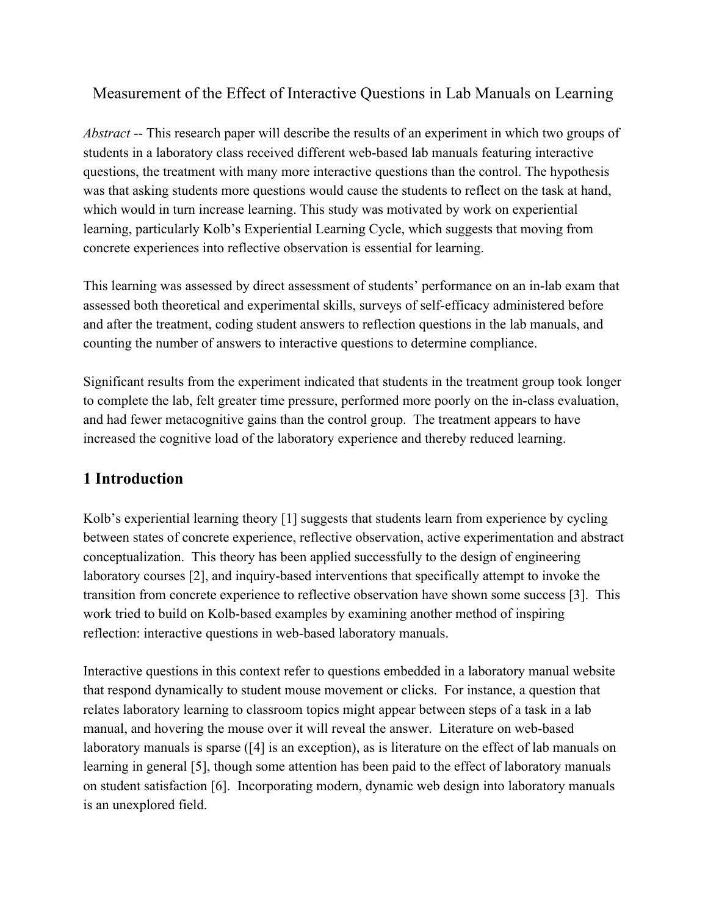# Measurement of the Effect of Interactive Questions in Lab Manuals on Learning

*Abstract* -- This research paper will describe the results of an experiment in which two groups of students in a laboratory class received different web-based lab manuals featuring interactive questions, the treatment with many more interactive questions than the control. The hypothesis was that asking students more questions would cause the students to reflect on the task at hand, which would in turn increase learning. This study was motivated by work on experiential learning, particularly Kolb's Experiential Learning Cycle, which suggests that moving from concrete experiences into reflective observation is essential for learning.

This learning was assessed by direct assessment of students' performance on an in-lab exam that assessed both theoretical and experimental skills, surveys of self-efficacy administered before and after the treatment, coding student answers to reflection questions in the lab manuals, and counting the number of answers to interactive questions to determine compliance.

Significant results from the experiment indicated that students in the treatment group took longer to complete the lab, felt greater time pressure, performed more poorly on the in-class evaluation, and had fewer metacognitive gains than the control group. The treatment appears to have increased the cognitive load of the laboratory experience and thereby reduced learning.

# **1 Introduction**

Kolb's experiential learning theory [\[1\]](https://www.zotero.org/google-docs/?EzRCuQ) suggests that students learn from experience by cycling between states of concrete experience, reflective observation, active experimentation and abstract conceptualization. This theory has been applied successfully to the design of engineering laboratory courses [\[2\]](https://www.zotero.org/google-docs/?4bZO3r), and inquiry-based interventions that specifically attempt to invoke the transition from concrete experience to reflective observation have shown some success [\[3\]](https://www.zotero.org/google-docs/?bVQ0aE). This work tried to build on Kolb-based examples by examining another method of inspiring reflection: interactive questions in web-based laboratory manuals.

Interactive questions in this context refer to questions embedded in a laboratory manual website that respond dynamically to student mouse movement or clicks. For instance, a question that relates laboratory learning to classroom topics might appear between steps of a task in a lab manual, and hovering the mouse over it will reveal the answer. Literature on web-based laboratory manuals is sparse [\(\[4\]](https://www.zotero.org/google-docs/?i4oTNP) is an exception), as is literature on the effect of lab manuals on learning in general [\[5\],](https://www.zotero.org/google-docs/?NjxDPr) though some attention has been paid to the effect of laboratory manuals on student satisfaction [\[6\]](https://www.zotero.org/google-docs/?DTQ8OD). Incorporating modern, dynamic web design into laboratory manuals is an unexplored field.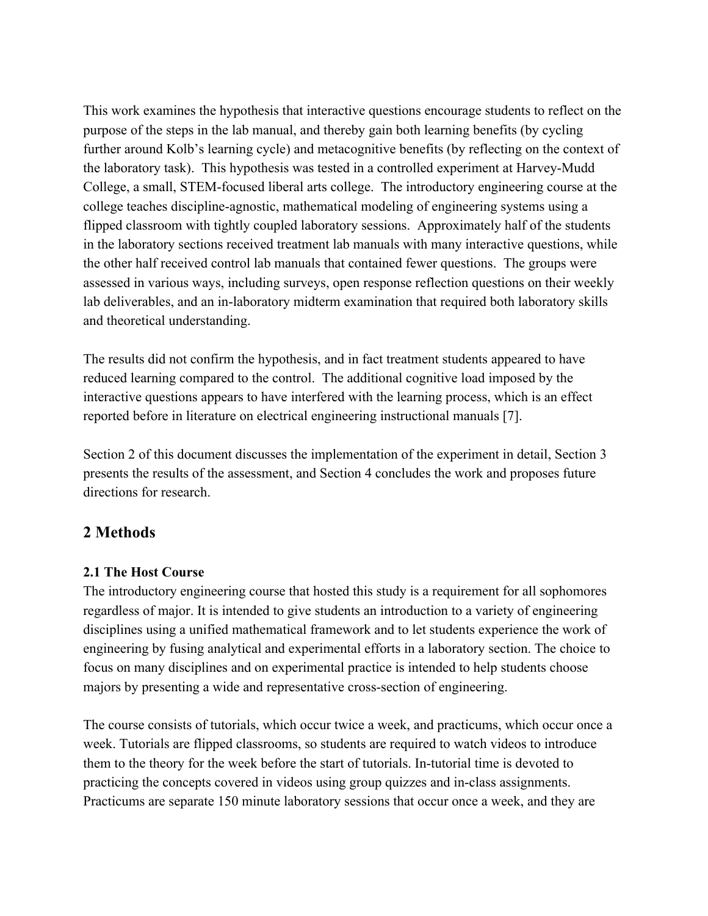This work examines the hypothesis that interactive questions encourage students to reflect on the purpose of the steps in the lab manual, and thereby gain both learning benefits (by cycling further around Kolb's learning cycle) and metacognitive benefits (by reflecting on the context of the laboratory task). This hypothesis was tested in a controlled experiment at Harvey-Mudd College, a small, STEM-focused liberal arts college. The introductory engineering course at the college teaches discipline-agnostic, mathematical modeling of engineering systems using a flipped classroom with tightly coupled laboratory sessions. Approximately half of the students in the laboratory sections received treatment lab manuals with many interactive questions, while the other half received control lab manuals that contained fewer questions. The groups were assessed in various ways, including surveys, open response reflection questions on their weekly lab deliverables, and an in-laboratory midterm examination that required both laboratory skills and theoretical understanding.

The results did not confirm the hypothesis, and in fact treatment students appeared to have reduced learning compared to the control. The additional cognitive load imposed by the interactive questions appears to have interfered with the learning process, which is an effect reported before in literature on electrical engineering instructional manuals [\[7\]](https://www.zotero.org/google-docs/?TKOh3X).

Section 2 of this document discusses the implementation of the experiment in detail, Section 3 presents the results of the assessment, and Section 4 concludes the work and proposes future directions for research.

# **2 Methods**

### **2.1 The Host Course**

The introductory engineering course that hosted this study is a requirement for all sophomores regardless of major. It is intended to give students an introduction to a variety of engineering disciplines using a unified mathematical framework and to let students experience the work of engineering by fusing analytical and experimental efforts in a laboratory section. The choice to focus on many disciplines and on experimental practice is intended to help students choose majors by presenting a wide and representative cross-section of engineering.

The course consists of tutorials, which occur twice a week, and practicums, which occur once a week. Tutorials are flipped classrooms, so students are required to watch videos to introduce them to the theory for the week before the start of tutorials. In-tutorial time is devoted to practicing the concepts covered in videos using group quizzes and in-class assignments. Practicums are separate 150 minute laboratory sessions that occur once a week, and they are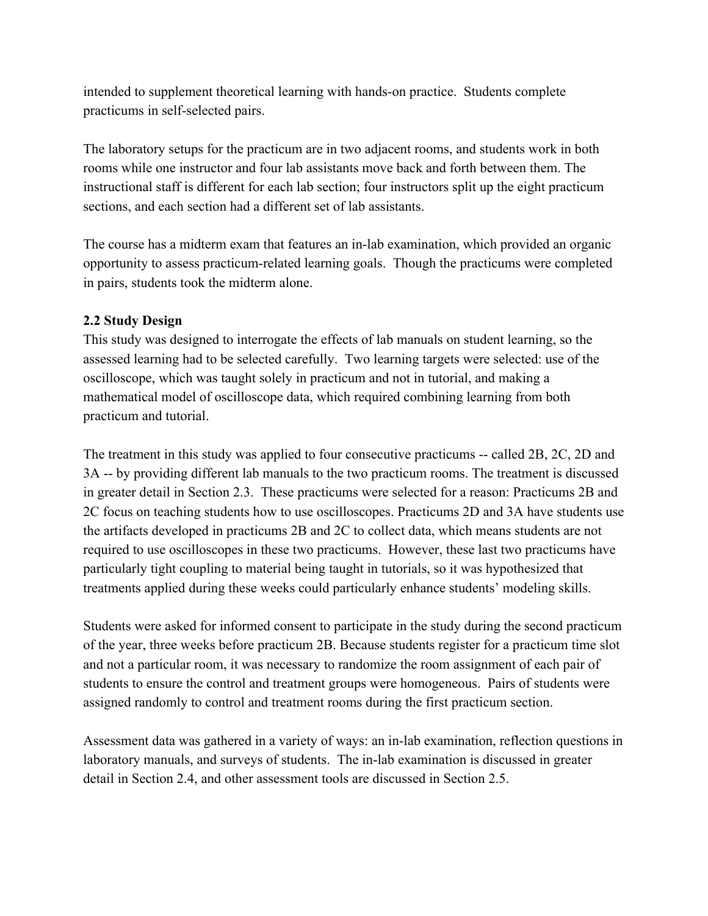intended to supplement theoretical learning with hands-on practice. Students complete practicums in self-selected pairs.

The laboratory setups for the practicum are in two adjacent rooms, and students work in both rooms while one instructor and four lab assistants move back and forth between them. The instructional staff is different for each lab section; four instructors split up the eight practicum sections, and each section had a different set of lab assistants.

The course has a midterm exam that features an in-lab examination, which provided an organic opportunity to assess practicum-related learning goals. Though the practicums were completed in pairs, students took the midterm alone.

# **2.2 Study Design**

This study was designed to interrogate the effects of lab manuals on student learning, so the assessed learning had to be selected carefully. Two learning targets were selected: use of the oscilloscope, which was taught solely in practicum and not in tutorial, and making a mathematical model of oscilloscope data, which required combining learning from both practicum and tutorial.

The treatment in this study was applied to four consecutive practicums -- called 2B, 2C, 2D and 3A -- by providing different lab manuals to the two practicum rooms. The treatment is discussed in greater detail in Section 2.3. These practicums were selected for a reason: Practicums 2B and 2C focus on teaching students how to use oscilloscopes. Practicums 2D and 3A have students use the artifacts developed in practicums 2B and 2C to collect data, which means students are not required to use oscilloscopes in these two practicums. However, these last two practicums have particularly tight coupling to material being taught in tutorials, so it was hypothesized that treatments applied during these weeks could particularly enhance students' modeling skills.

Students were asked for informed consent to participate in the study during the second practicum of the year, three weeks before practicum 2B. Because students register for a practicum time slot and not a particular room, it was necessary to randomize the room assignment of each pair of students to ensure the control and treatment groups were homogeneous. Pairs of students were assigned randomly to control and treatment rooms during the first practicum section.

Assessment data was gathered in a variety of ways: an in-lab examination, reflection questions in laboratory manuals, and surveys of students. The in-lab examination is discussed in greater detail in Section 2.4, and other assessment tools are discussed in Section 2.5.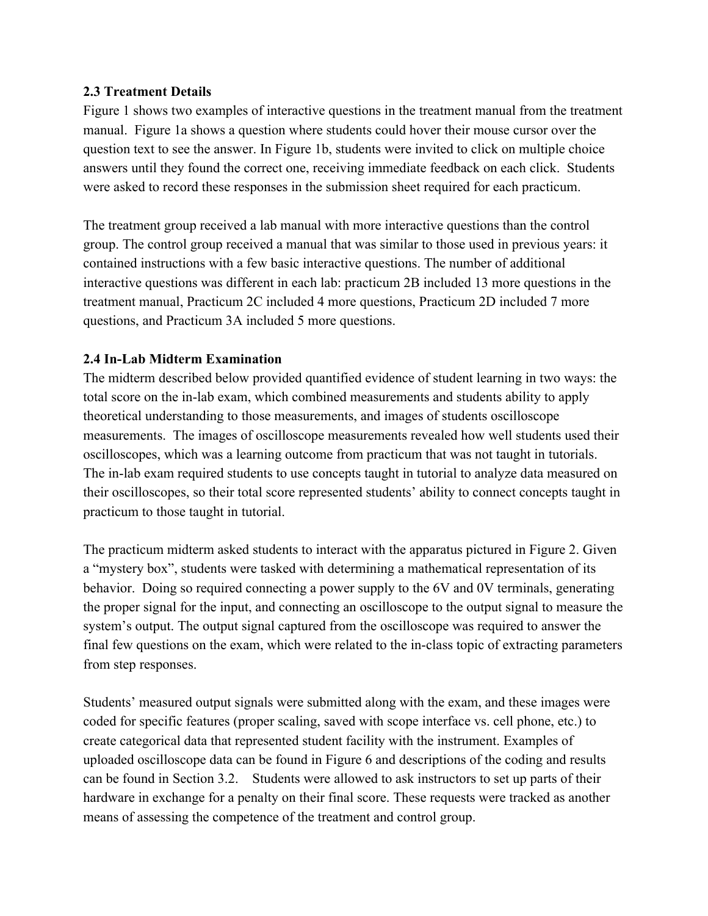### **2.3 Treatment Details**

Figure 1 shows two examples of interactive questions in the treatment manual from the treatment manual. Figure 1a shows a question where students could hover their mouse cursor over the question text to see the answer. In Figure 1b, students were invited to click on multiple choice answers until they found the correct one, receiving immediate feedback on each click. Students were asked to record these responses in the submission sheet required for each practicum.

The treatment group received a lab manual with more interactive questions than the control group. The control group received a manual that was similar to those used in previous years: it contained instructions with a few basic interactive questions. The number of additional interactive questions was different in each lab: practicum 2B included 13 more questions in the treatment manual, Practicum 2C included 4 more questions, Practicum 2D included 7 more questions, and Practicum 3A included 5 more questions.

### **2.4 In-Lab Midterm Examination**

The midterm described below provided quantified evidence of student learning in two ways: the total score on the in-lab exam, which combined measurements and students ability to apply theoretical understanding to those measurements, and images of students oscilloscope measurements. The images of oscilloscope measurements revealed how well students used their oscilloscopes, which was a learning outcome from practicum that was not taught in tutorials. The in-lab exam required students to use concepts taught in tutorial to analyze data measured on their oscilloscopes, so their total score represented students' ability to connect concepts taught in practicum to those taught in tutorial.

The practicum midterm asked students to interact with the apparatus pictured in Figure 2. Given a "mystery box", students were tasked with determining a mathematical representation of its behavior. Doing so required connecting a power supply to the 6V and 0V terminals, generating the proper signal for the input, and connecting an oscilloscope to the output signal to measure the system's output. The output signal captured from the oscilloscope was required to answer the final few questions on the exam, which were related to the in-class topic of extracting parameters from step responses.

Students' measured output signals were submitted along with the exam, and these images were coded for specific features (proper scaling, saved with scope interface vs. cell phone, etc.) to create categorical data that represented student facility with the instrument. Examples of uploaded oscilloscope data can be found in Figure 6 and descriptions of the coding and results can be found in Section 3.2. Students were allowed to ask instructors to set up parts of their hardware in exchange for a penalty on their final score. These requests were tracked as another means of assessing the competence of the treatment and control group.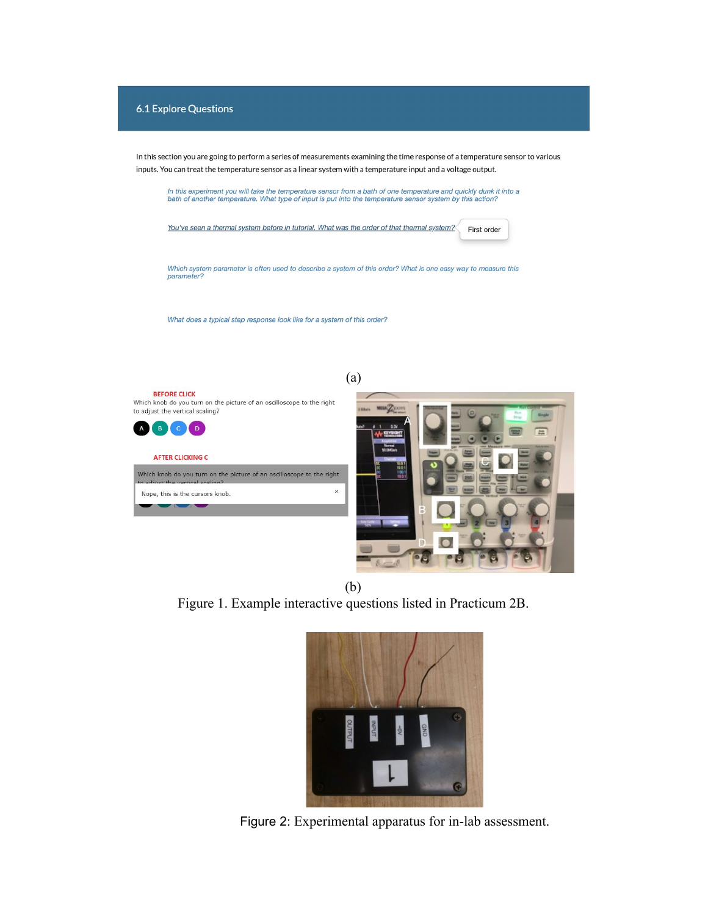

(b) Figure 1. Example interactive questions listed in Practicum 2B.



Figure 2: Experimental apparatus for in-lab assessment.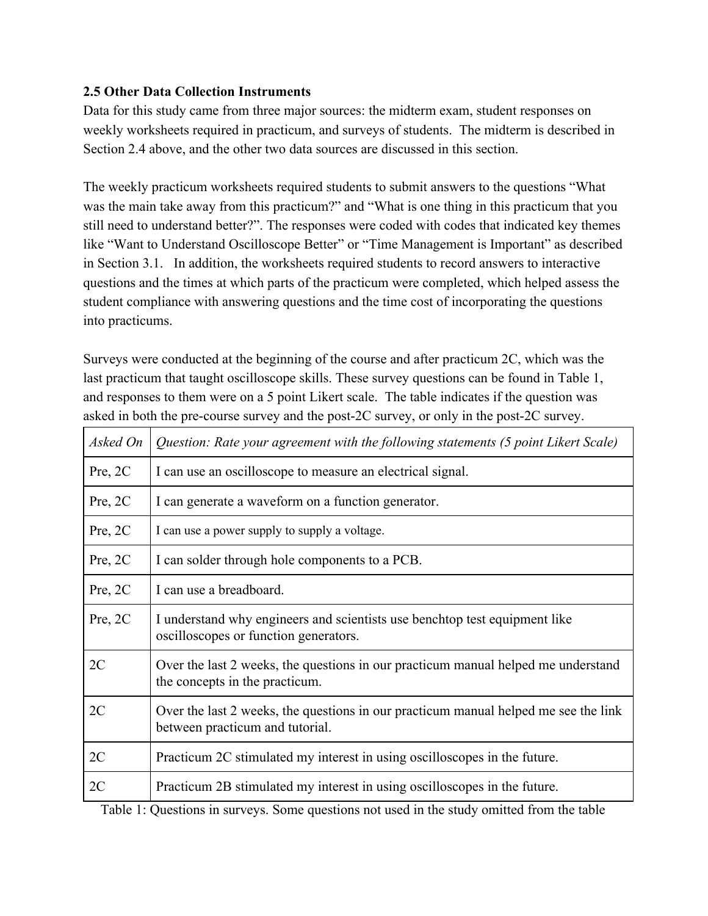# **2.5 Other Data Collection Instruments**

Data for this study came from three major sources: the midterm exam, student responses on weekly worksheets required in practicum, and surveys of students. The midterm is described in Section 2.4 above, and the other two data sources are discussed in this section.

The weekly practicum worksheets required students to submit answers to the questions "What was the main take away from this practicum?" and "What is one thing in this practicum that you still need to understand better?". The responses were coded with codes that indicated key themes like "Want to Understand Oscilloscope Better" or "Time Management is Important" as described in Section 3.1. In addition, the worksheets required students to record answers to interactive questions and the times at which parts of the practicum were completed, which helped assess the student compliance with answering questions and the time cost of incorporating the questions into practicums.

Surveys were conducted at the beginning of the course and after practicum 2C, which was the last practicum that taught oscilloscope skills. These survey questions can be found in Table 1, and responses to them were on a 5 point Likert scale. The table indicates if the question was asked in both the pre-course survey and the post-2C survey, or only in the post-2C survey.

| Asked On | Question: Rate your agreement with the following statements (5 point Likert Scale)                                     |
|----------|------------------------------------------------------------------------------------------------------------------------|
| Pre, 2C  | I can use an oscilloscope to measure an electrical signal.                                                             |
| Pre, 2C  | I can generate a waveform on a function generator.                                                                     |
| Pre, 2C  | I can use a power supply to supply a voltage.                                                                          |
| Pre, 2C  | I can solder through hole components to a PCB.                                                                         |
| Pre, 2C  | I can use a breadboard.                                                                                                |
| Pre, 2C  | I understand why engineers and scientists use benchtop test equipment like<br>oscilloscopes or function generators.    |
| 2C       | Over the last 2 weeks, the questions in our practicum manual helped me understand<br>the concepts in the practicum.    |
| 2C       | Over the last 2 weeks, the questions in our practicum manual helped me see the link<br>between practicum and tutorial. |
| 2C       | Practicum 2C stimulated my interest in using oscilloscopes in the future.                                              |
| 2C       | Practicum 2B stimulated my interest in using oscilloscopes in the future.                                              |

Table 1: Questions in surveys. Some questions not used in the study omitted from the table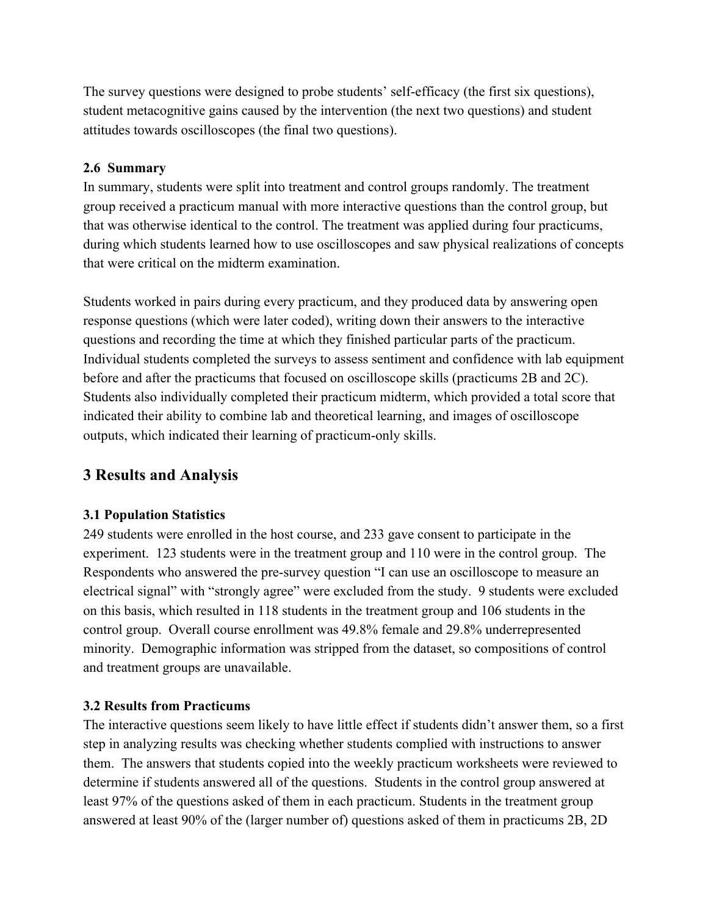The survey questions were designed to probe students' self-efficacy (the first six questions), student metacognitive gains caused by the intervention (the next two questions) and student attitudes towards oscilloscopes (the final two questions).

### **2.6 Summary**

In summary, students were split into treatment and control groups randomly. The treatment group received a practicum manual with more interactive questions than the control group, but that was otherwise identical to the control. The treatment was applied during four practicums, during which students learned how to use oscilloscopes and saw physical realizations of concepts that were critical on the midterm examination.

Students worked in pairs during every practicum, and they produced data by answering open response questions (which were later coded), writing down their answers to the interactive questions and recording the time at which they finished particular parts of the practicum. Individual students completed the surveys to assess sentiment and confidence with lab equipment before and after the practicums that focused on oscilloscope skills (practicums 2B and 2C). Students also individually completed their practicum midterm, which provided a total score that indicated their ability to combine lab and theoretical learning, and images of oscilloscope outputs, which indicated their learning of practicum-only skills.

# **3 Results and Analysis**

# **3.1 Population Statistics**

249 students were enrolled in the host course, and 233 gave consent to participate in the experiment. 123 students were in the treatment group and 110 were in the control group. The Respondents who answered the pre-survey question "I can use an oscilloscope to measure an electrical signal" with "strongly agree" were excluded from the study. 9 students were excluded on this basis, which resulted in 118 students in the treatment group and 106 students in the control group. Overall course enrollment was 49.8% female and 29.8% underrepresented minority. Demographic information was stripped from the dataset, so compositions of control and treatment groups are unavailable.

# **3.2 Results from Practicums**

The interactive questions seem likely to have little effect if students didn't answer them, so a first step in analyzing results was checking whether students complied with instructions to answer them. The answers that students copied into the weekly practicum worksheets were reviewed to determine if students answered all of the questions. Students in the control group answered at least 97% of the questions asked of them in each practicum. Students in the treatment group answered at least 90% of the (larger number of) questions asked of them in practicums 2B, 2D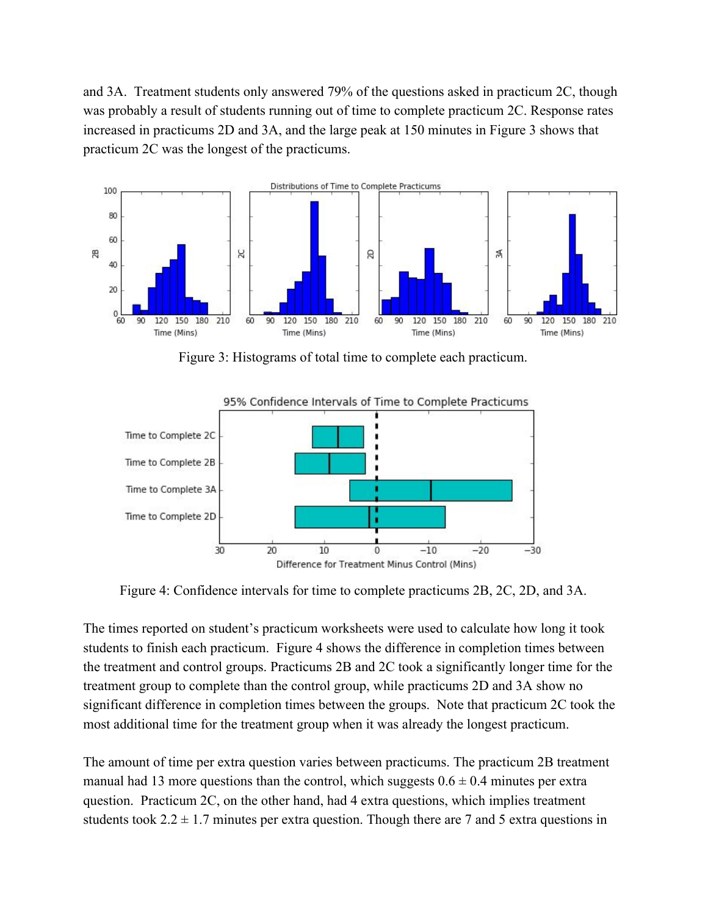and 3A. Treatment students only answered 79% of the questions asked in practicum 2C, though was probably a result of students running out of time to complete practicum 2C. Response rates increased in practicums 2D and 3A, and the large peak at 150 minutes in Figure 3 shows that practicum 2C was the longest of the practicums.



Figure 3: Histograms of total time to complete each practicum.



Figure 4: Confidence intervals for time to complete practicums 2B, 2C, 2D, and 3A.

The times reported on student's practicum worksheets were used to calculate how long it took students to finish each practicum. Figure 4 shows the difference in completion times between the treatment and control groups. Practicums 2B and 2C took a significantly longer time for the treatment group to complete than the control group, while practicums 2D and 3A show no significant difference in completion times between the groups. Note that practicum 2C took the most additional time for the treatment group when it was already the longest practicum.

The amount of time per extra question varies between practicums. The practicum 2B treatment manual had 13 more questions than the control, which suggests  $0.6 \pm 0.4$  minutes per extra question. Practicum 2C, on the other hand, had 4 extra questions, which implies treatment students took  $2.2 \pm 1.7$  minutes per extra question. Though there are 7 and 5 extra questions in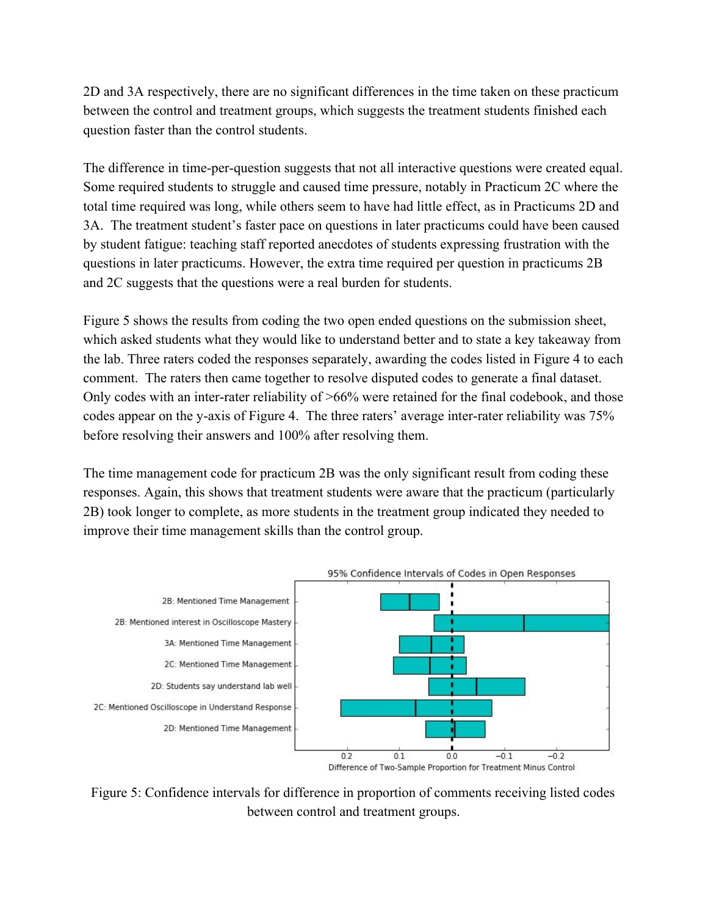2D and 3A respectively, there are no significant differences in the time taken on these practicum between the control and treatment groups, which suggests the treatment students finished each question faster than the control students.

The difference in time-per-question suggests that not all interactive questions were created equal. Some required students to struggle and caused time pressure, notably in Practicum 2C where the total time required was long, while others seem to have had little effect, as in Practicums 2D and 3A. The treatment student's faster pace on questions in later practicums could have been caused by student fatigue: teaching staff reported anecdotes of students expressing frustration with the questions in later practicums. However, the extra time required per question in practicums 2B and 2C suggests that the questions were a real burden for students.

Figure 5 shows the results from coding the two open ended questions on the submission sheet, which asked students what they would like to understand better and to state a key takeaway from the lab. Three raters coded the responses separately, awarding the codes listed in Figure 4 to each comment. The raters then came together to resolve disputed codes to generate a final dataset. Only codes with an inter-rater reliability of >66% were retained for the final codebook, and those codes appear on the y-axis of Figure 4. The three raters' average inter-rater reliability was 75% before resolving their answers and 100% after resolving them.

The time management code for practicum 2B was the only significant result from coding these responses. Again, this shows that treatment students were aware that the practicum (particularly 2B) took longer to complete, as more students in the treatment group indicated they needed to improve their time management skills than the control group.



Figure 5: Confidence intervals for difference in proportion of comments receiving listed codes between control and treatment groups.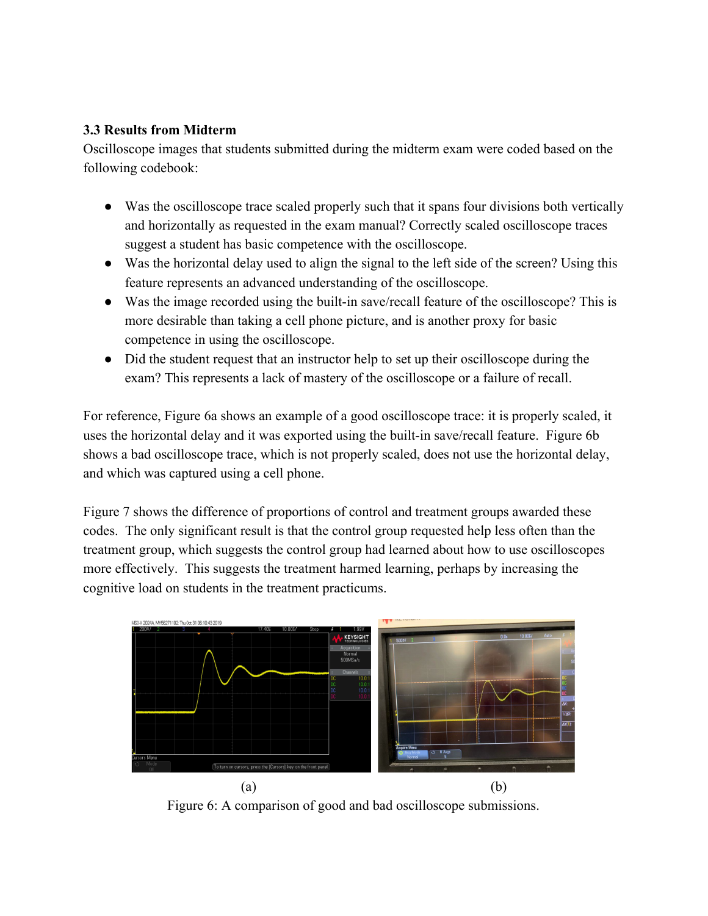# **3.3 Results from Midterm**

Oscilloscope images that students submitted during the midterm exam were coded based on the following codebook:

- Was the oscilloscope trace scaled properly such that it spans four divisions both vertically and horizontally as requested in the exam manual? Correctly scaled oscilloscope traces suggest a student has basic competence with the oscilloscope.
- Was the horizontal delay used to align the signal to the left side of the screen? Using this feature represents an advanced understanding of the oscilloscope.
- Was the image recorded using the built-in save/recall feature of the oscilloscope? This is more desirable than taking a cell phone picture, and is another proxy for basic competence in using the oscilloscope.
- Did the student request that an instructor help to set up their oscilloscope during the exam? This represents a lack of mastery of the oscilloscope or a failure of recall.

For reference, Figure 6a shows an example of a good oscilloscope trace: it is properly scaled, it uses the horizontal delay and it was exported using the built-in save/recall feature. Figure 6b shows a bad oscilloscope trace, which is not properly scaled, does not use the horizontal delay, and which was captured using a cell phone.

Figure 7 shows the difference of proportions of control and treatment groups awarded these codes. The only significant result is that the control group requested help less often than the treatment group, which suggests the control group had learned about how to use oscilloscopes more effectively. This suggests the treatment harmed learning, perhaps by increasing the cognitive load on students in the treatment practicums.



Figure 6: A comparison of good and bad oscilloscope submissions.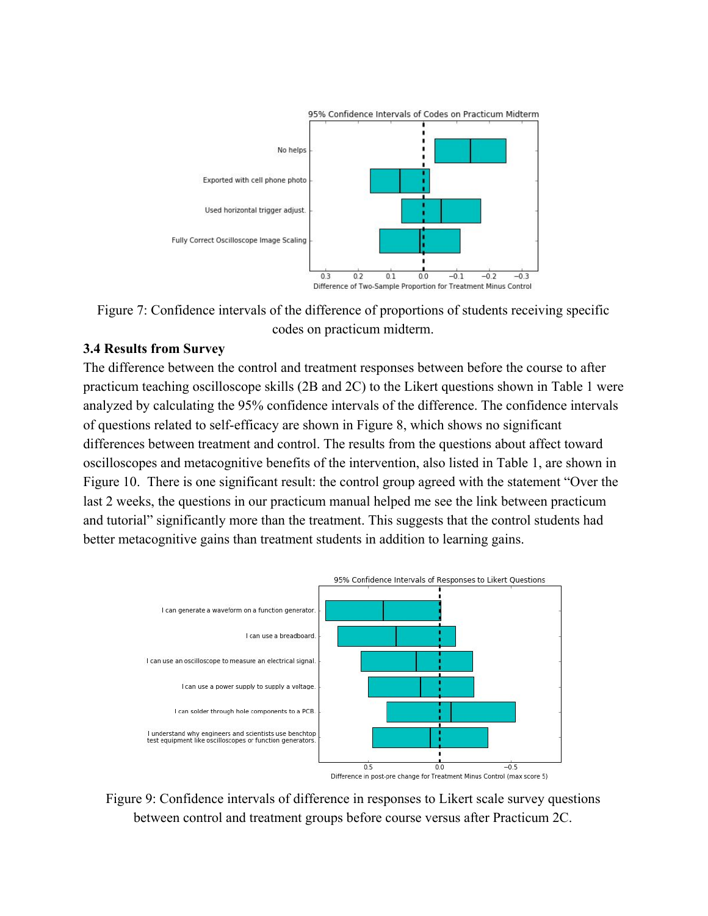



#### **3.4 Results from Survey**

The difference between the control and treatment responses between before the course to after practicum teaching oscilloscope skills (2B and 2C) to the Likert questions shown in Table 1 were analyzed by calculating the 95% confidence intervals of the difference. The confidence intervals of questions related to self-efficacy are shown in Figure 8, which shows no significant differences between treatment and control. The results from the questions about affect toward oscilloscopes and metacognitive benefits of the intervention, also listed in Table 1, are shown in Figure 10. There is one significant result: the control group agreed with the statement "Over the last 2 weeks, the questions in our practicum manual helped me see the link between practicum and tutorial" significantly more than the treatment. This suggests that the control students had better metacognitive gains than treatment students in addition to learning gains.



Figure 9: Confidence intervals of difference in responses to Likert scale survey questions between control and treatment groups before course versus after Practicum 2C.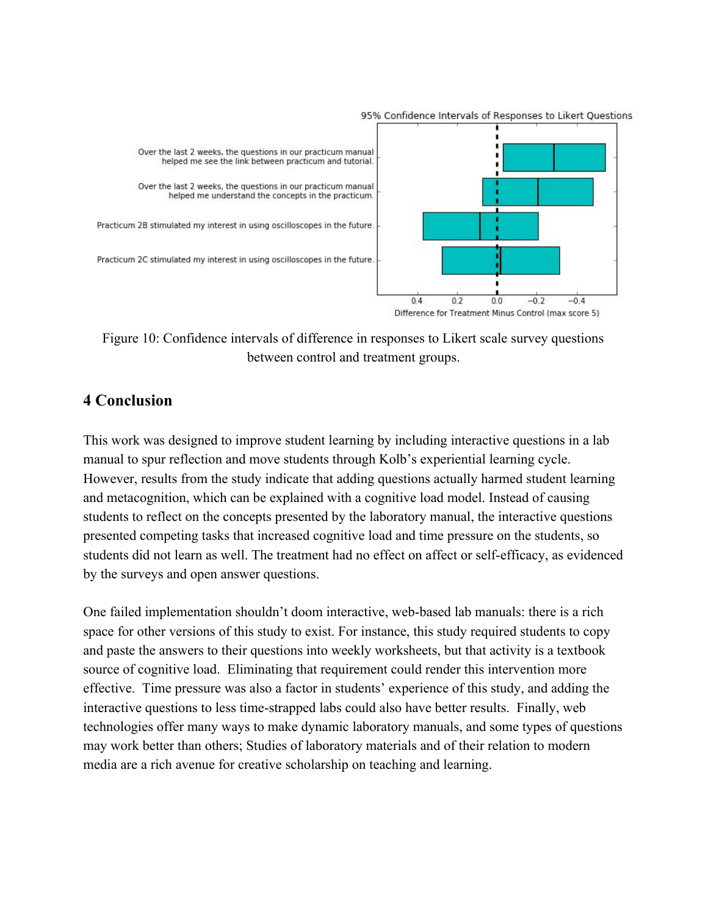

95% Confidence Intervals of Responses to Likert Questions

Figure 10: Confidence intervals of difference in responses to Likert scale survey questions between control and treatment groups.

### **4 Conclusion**

This work was designed to improve student learning by including interactive questions in a lab manual to spur reflection and move students through Kolb's experiential learning cycle. However, results from the study indicate that adding questions actually harmed student learning and metacognition, which can be explained with a cognitive load model. Instead of causing students to reflect on the concepts presented by the laboratory manual, the interactive questions presented competing tasks that increased cognitive load and time pressure on the students, so students did not learn as well. The treatment had no effect on affect or self-efficacy, as evidenced by the surveys and open answer questions.

One failed implementation shouldn't doom interactive, web-based lab manuals: there is a rich space for other versions of this study to exist. For instance, this study required students to copy and paste the answers to their questions into weekly worksheets, but that activity is a textbook source of cognitive load. Eliminating that requirement could render this intervention more effective. Time pressure was also a factor in students' experience of this study, and adding the interactive questions to less time-strapped labs could also have better results. Finally, web technologies offer many ways to make dynamic laboratory manuals, and some types of questions may work better than others; Studies of laboratory materials and of their relation to modern media are a rich avenue for creative scholarship on teaching and learning.